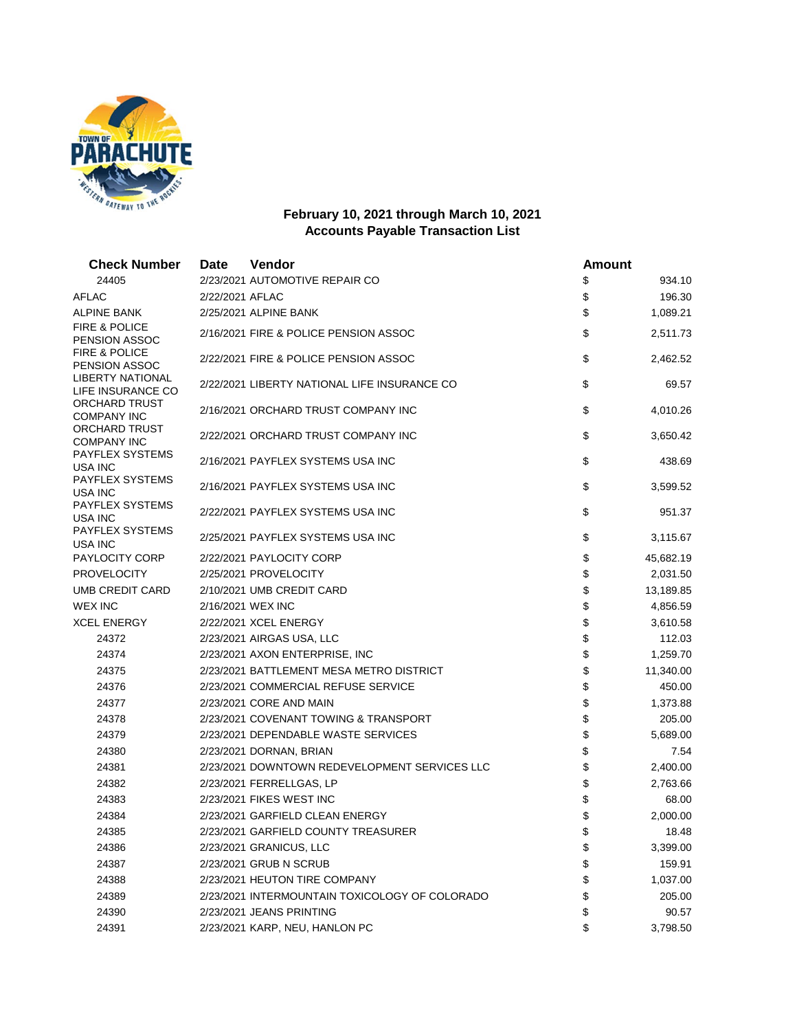

## **February 10, 2021 through March 10, 2021 Accounts Payable Transaction List**

| <b>Check Number</b>                              | <b>Date</b>     | Vendor                                         | <b>Amount</b> |           |
|--------------------------------------------------|-----------------|------------------------------------------------|---------------|-----------|
| 24405                                            |                 | 2/23/2021 AUTOMOTIVE REPAIR CO                 | \$            | 934.10    |
| AFLAC                                            | 2/22/2021 AFLAC |                                                | \$            | 196.30    |
| ALPINE BANK                                      |                 | 2/25/2021 ALPINE BANK                          | \$            | 1,089.21  |
| <b>FIRE &amp; POLICE</b><br><b>PENSION ASSOC</b> |                 | 2/16/2021 FIRE & POLICE PENSION ASSOC          | \$            | 2,511.73  |
| <b>FIRE &amp; POLICE</b><br>PENSION ASSOC        |                 | 2/22/2021 FIRE & POLICE PENSION ASSOC          | \$            | 2,462.52  |
| LIBERTY NATIONAL<br>LIFE INSURANCE CO            |                 | 2/22/2021 LIBERTY NATIONAL LIFE INSURANCE CO   | \$            | 69.57     |
| ORCHARD TRUST<br><b>COMPANY INC</b>              |                 | 2/16/2021 ORCHARD TRUST COMPANY INC            | \$            | 4,010.26  |
| ORCHARD TRUST<br><b>COMPANY INC</b>              |                 | 2/22/2021 ORCHARD TRUST COMPANY INC            | \$            | 3,650.42  |
| PAYFLEX SYSTEMS<br>USA INC                       |                 | 2/16/2021 PAYFLEX SYSTEMS USA INC              | \$            | 438.69    |
| PAYFLEX SYSTEMS<br>USA INC                       |                 | 2/16/2021 PAYFLEX SYSTEMS USA INC              | \$            | 3,599.52  |
| PAYFLEX SYSTEMS<br>USA INC                       |                 | 2/22/2021 PAYFLEX SYSTEMS USA INC              | \$            | 951.37    |
| PAYFLEX SYSTEMS<br>USA INC                       |                 | 2/25/2021 PAYFLEX SYSTEMS USA INC              | \$            | 3,115.67  |
| PAYLOCITY CORP                                   |                 | 2/22/2021 PAYLOCITY CORP                       | \$            | 45,682.19 |
| <b>PROVELOCITY</b>                               |                 | 2/25/2021 PROVELOCITY                          | \$            | 2,031.50  |
| UMB CREDIT CARD                                  |                 | 2/10/2021 UMB CREDIT CARD                      | \$            | 13,189.85 |
| WEX INC                                          |                 | 2/16/2021 WEX INC                              | \$            | 4,856.59  |
| <b>XCEL ENERGY</b>                               |                 | 2/22/2021 XCEL ENERGY                          | \$            | 3,610.58  |
| 24372                                            |                 | 2/23/2021 AIRGAS USA, LLC                      | \$            | 112.03    |
| 24374                                            |                 | 2/23/2021 AXON ENTERPRISE, INC                 | \$            | 1,259.70  |
| 24375                                            |                 | 2/23/2021 BATTLEMENT MESA METRO DISTRICT       | \$            | 11,340.00 |
| 24376                                            |                 | 2/23/2021 COMMERCIAL REFUSE SERVICE            | \$            | 450.00    |
| 24377                                            |                 | 2/23/2021 CORE AND MAIN                        | \$            | 1,373.88  |
| 24378                                            |                 | 2/23/2021 COVENANT TOWING & TRANSPORT          | \$            | 205.00    |
| 24379                                            |                 | 2/23/2021 DEPENDABLE WASTE SERVICES            | \$            | 5,689.00  |
| 24380                                            |                 | 2/23/2021 DORNAN, BRIAN                        | \$            | 7.54      |
| 24381                                            |                 | 2/23/2021 DOWNTOWN REDEVELOPMENT SERVICES LLC  | \$            | 2,400.00  |
| 24382                                            |                 | 2/23/2021 FERRELLGAS, LP                       | \$            | 2,763.66  |
| 24383                                            |                 | 2/23/2021 FIKES WEST INC                       | \$            | 68.00     |
| 24384                                            |                 | 2/23/2021 GARFIELD CLEAN ENERGY                | \$            | 2,000.00  |
| 24385                                            |                 | 2/23/2021 GARFIELD COUNTY TREASURER            | \$            | 18.48     |
| 24386                                            |                 | 2/23/2021 GRANICUS, LLC                        | \$            | 3,399.00  |
| 24387                                            |                 | 2/23/2021 GRUB N SCRUB                         | \$            | 159.91    |
| 24388                                            |                 | 2/23/2021 HEUTON TIRE COMPANY                  | \$            | 1,037.00  |
| 24389                                            |                 | 2/23/2021 INTERMOUNTAIN TOXICOLOGY OF COLORADO | \$            | 205.00    |
| 24390                                            |                 | 2/23/2021 JEANS PRINTING                       | \$            | 90.57     |
| 24391                                            |                 | 2/23/2021 KARP, NEU, HANLON PC                 | \$            | 3,798.50  |